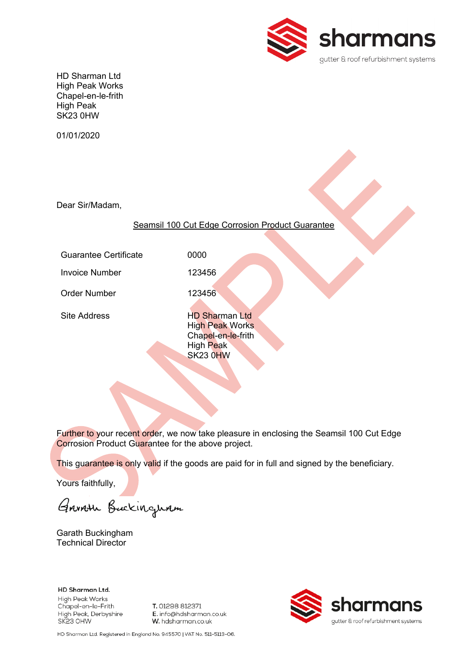

HD Sharman Ltd High Peak Works Chapel-en-le-frith High Peak SK23 0HW

01/01/2020

Dear Sir/Madam,

Seamsil 100 Cut Edge Corrosion Product Guarantee

Guarantee Certificate **0000** 

Invoice Number 123456

Order Number 123456

Site Address HD Sharman Ltd High Peak Works Chapel-en-le-frith High Peak SK23 0HW

Further to your recent order, we now take pleasure in enclosing the Seamsil 100 Cut Edge Corrosion Product Guarantee for the above project.

This guarantee is only valid if the goods are paid for in full and signed by the beneficiary.

Yours faithfully,

Garrish Buckinguam

Garath Buckingham Technical Director

HD Sharman Ltd. High Peak Works Chapel-en-le-Frith High Peak, Derbyshire SK23 OHW

T. 01298 812371 E. info@hdsharman.co.uk W. hdsharman.co.uk



HD Sharman Ltd. Registered in England No. 945570 | VAT No. 511-5113-06.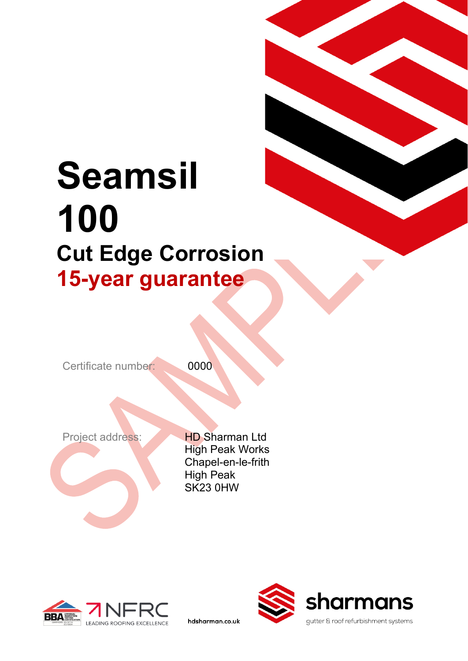# **Seamsil 100 Cut Edge Corrosion 15-year guarantee**

Certificate number: 0000

Project address: HD Sharman Ltd High Peak Works Chapel-en-le-frith High Peak SK23 0HW

hdsharman.co.uk



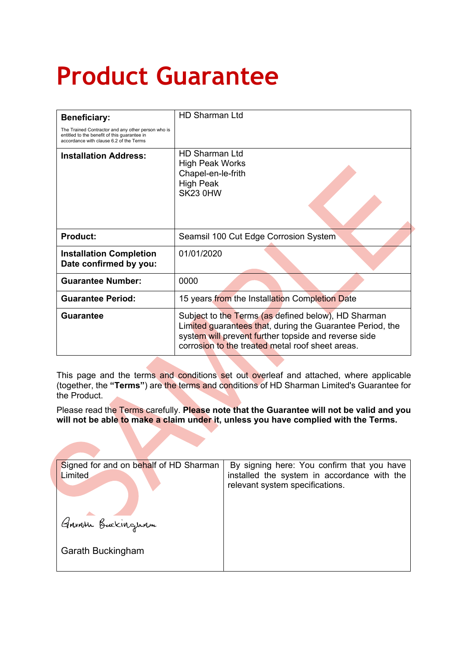# **Product Guarantee**

| <b>Beneficiary:</b>                                                                                                                           | <b>HD Sharman Ltd</b>                                                                                                                                                                                                        |  |
|-----------------------------------------------------------------------------------------------------------------------------------------------|------------------------------------------------------------------------------------------------------------------------------------------------------------------------------------------------------------------------------|--|
| The Trained Contractor and any other person who is<br>entitled to the benefit of this guarantee in<br>accordance with clause 6.2 of the Terms |                                                                                                                                                                                                                              |  |
| <b>Installation Address:</b>                                                                                                                  | <b>HD Sharman Ltd</b><br><b>High Peak Works</b><br>Chapel-en-le-frith<br><b>High Peak</b><br>SK23 0HW                                                                                                                        |  |
| <b>Product:</b>                                                                                                                               | Seamsil 100 Cut Edge Corrosion System                                                                                                                                                                                        |  |
| <b>Installation Completion</b><br>Date confirmed by you:                                                                                      | 01/01/2020                                                                                                                                                                                                                   |  |
| <b>Guarantee Number:</b>                                                                                                                      | 0000                                                                                                                                                                                                                         |  |
| <b>Guarantee Period:</b>                                                                                                                      | 15 years from the Installation Completion Date                                                                                                                                                                               |  |
| <b>Guarantee</b>                                                                                                                              | Subject to the Terms (as defined below), HD Sharman<br>Limited guarantees that, during the Guarantee Period, the<br>system will prevent further topside and reverse side<br>corrosion to the treated metal roof sheet areas. |  |

This page and the terms and conditions set out overleaf and attached, where applicable (together, the **"Terms"**) are the terms and conditions of HD Sharman Limited's Guarantee for the Product.

Please read the Terms carefully. **Please note that the Guarantee will not be valid and you will not be able to make a claim under it, unless you have complied with the Terms.**

| Signed for and on behalf of HD Sharman<br>Limited | By signing here: You confirm that you have<br>installed the system in accordance with the<br>relevant system specifications. |
|---------------------------------------------------|------------------------------------------------------------------------------------------------------------------------------|
| Grivath Buckinguam<br>Garath Buckingham           |                                                                                                                              |
|                                                   |                                                                                                                              |